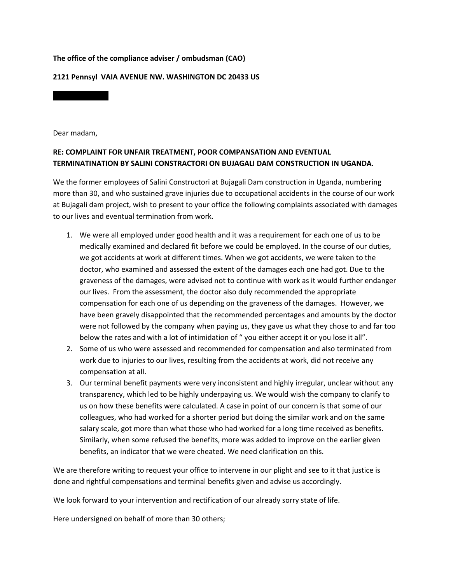## **The office of the compliance adviser / ombudsman (CAO)**

## **2121 Pennsyl VAIA AVENUE NW. WASHINGTON DC 20433 US**

Dear madam,

## **RE: COMPLAINT FOR UNFAIR TREATMENT, POOR COMPANSATION AND EVENTUAL TERMINATINATION BY SALINI CONSTRACTORI ON BUJAGALI DAM CONSTRUCTION IN UGANDA.**

We the former employees of Salini Constructori at Bujagali Dam construction in Uganda, numbering more than 30, and who sustained grave injuries due to occupational accidents in the course of our work at Bujagali dam project, wish to present to your office the following complaints associated with damages to our lives and eventual termination from work.

- 1. We were all employed under good health and it was a requirement for each one of us to be medically examined and declared fit before we could be employed. In the course of our duties, we got accidents at work at different times. When we got accidents, we were taken to the doctor, who examined and assessed the extent of the damages each one had got. Due to the graveness of the damages, were advised not to continue with work as it would further endanger our lives. From the assessment, the doctor also duly recommended the appropriate compensation for each one of us depending on the graveness of the damages. However, we have been gravely disappointed that the recommended percentages and amounts by the doctor were not followed by the company when paying us, they gave us what they chose to and far too below the rates and with a lot of intimidation of " you either accept it or you lose it all".
- 2. Some of us who were assessed and recommended for compensation and also terminated from work due to injuries to our lives, resulting from the accidents at work, did not receive any compensation at all.
- 3. Our terminal benefit payments were very inconsistent and highly irregular, unclear without any transparency, which led to be highly underpaying us. We would wish the company to clarify to us on how these benefits were calculated. A case in point of our concern is that some of our colleagues, who had worked for a shorter period but doing the similar work and on the same salary scale, got more than what those who had worked for a long time received as benefits. Similarly, when some refused the benefits, more was added to improve on the earlier given benefits, an indicator that we were cheated. We need clarification on this.

We are therefore writing to request your office to intervene in our plight and see to it that justice is done and rightful compensations and terminal benefits given and advise us accordingly.

We look forward to your intervention and rectification of our already sorry state of life.

Here undersigned on behalf of more than 30 others;